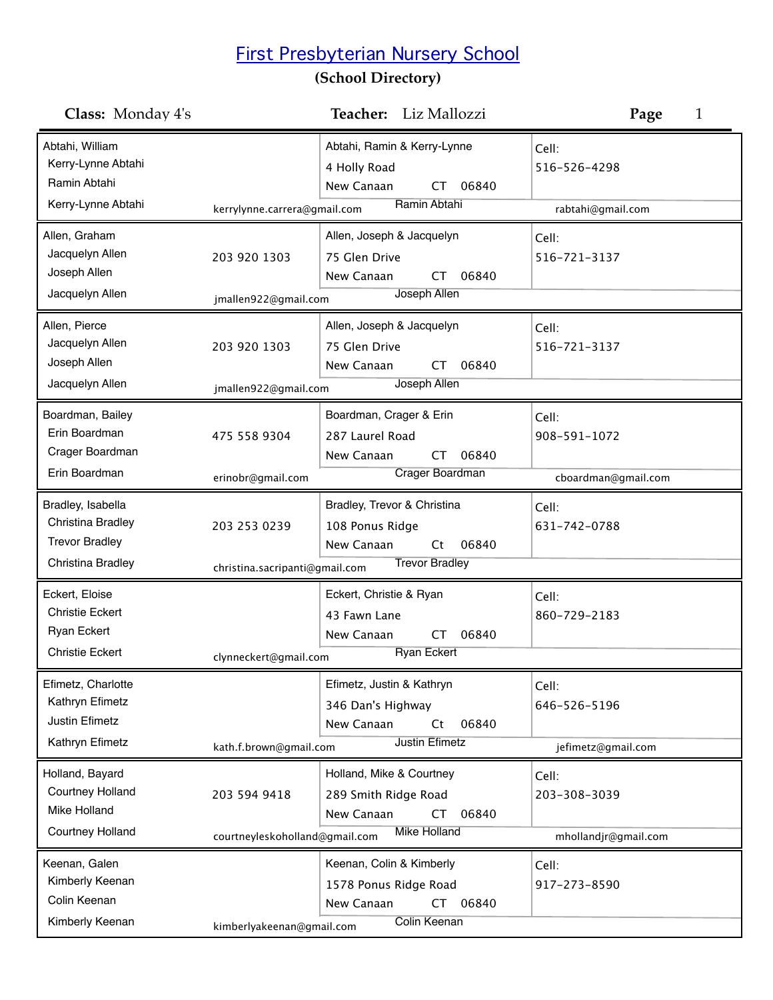## First Presbyterian Nursery School

## **(School Directory)**

| Class: Monday 4's                                                                        |                                                | Teacher: Liz Mallozzi                                                                                 | Page<br>1                                     |
|------------------------------------------------------------------------------------------|------------------------------------------------|-------------------------------------------------------------------------------------------------------|-----------------------------------------------|
| Abtahi, William<br>Kerry-Lynne Abtahi<br>Ramin Abtahi<br>Kerry-Lynne Abtahi              | kerrylynne.carrera@gmail.com                   | Abtahi, Ramin & Kerry-Lynne<br>4 Holly Road<br>New Canaan<br>06840<br>CT.<br>Ramin Abtahi             | Cell:<br>516-526-4298<br>rabtahi@gmail.com    |
| Allen, Graham<br>Jacquelyn Allen<br>Joseph Allen<br>Jacquelyn Allen                      | 203 920 1303<br>jmallen922@gmail.com           | Allen, Joseph & Jacquelyn<br>75 Glen Drive<br>New Canaan<br>06840<br>CT.<br>Joseph Allen              | Cell:<br>516-721-3137                         |
| Allen, Pierce<br>Jacquelyn Allen<br>Joseph Allen<br>Jacquelyn Allen                      | 203 920 1303<br>jmallen922@gmail.com           | Allen, Joseph & Jacquelyn<br>75 Glen Drive<br>New Canaan<br>06840<br>CT<br>Joseph Allen               | Cell:<br>516-721-3137                         |
| Boardman, Bailey<br>Erin Boardman<br>Crager Boardman<br>Erin Boardman                    | 475 558 9304<br>erinobr@gmail.com              | Boardman, Crager & Erin<br>287 Laurel Road<br>06840<br>New Canaan<br><b>CT</b><br>Crager Boardman     | Cell:<br>908-591-1072<br>cboardman@gmail.com  |
| Bradley, Isabella<br>Christina Bradley<br><b>Trevor Bradley</b><br>Christina Bradley     | 203 253 0239<br>christina.sacripanti@gmail.com | Bradley, Trevor & Christina<br>108 Ponus Ridge<br>New Canaan<br>06840<br>Ct<br><b>Trevor Bradley</b>  | Cell:<br>631-742-0788                         |
| Eckert, Eloise<br><b>Christie Eckert</b><br><b>Ryan Eckert</b><br><b>Christie Eckert</b> | clynneckert@gmail.com                          | Eckert, Christie & Ryan<br>43 Fawn Lane<br>06840<br>New Canaan<br>CT<br><b>Ryan Eckert</b>            | Cell:<br>860-729-2183                         |
| Efimetz, Charlotte<br>Kathryn Efimetz<br>Justin Efimetz<br>Kathryn Efimetz               | kath.f.brown@gmail.com                         | Efimetz, Justin & Kathryn<br>346 Dan's Highway<br>06840<br>New Canaan<br>Ct<br><b>Justin Efimetz</b>  | Cell:<br>646-526-5196<br>jefimetz@gmail.com   |
| Holland, Bayard<br><b>Courtney Holland</b><br>Mike Holland<br><b>Courtney Holland</b>    | 203 594 9418<br>courtneyleskoholland@gmail.com | Holland, Mike & Courtney<br>289 Smith Ridge Road<br>New Canaan<br>06840<br>CT<br><b>Mike Holland</b>  | Cell:<br>203-308-3039<br>mhollandjr@gmail.com |
| Keenan, Galen<br>Kimberly Keenan<br>Colin Keenan<br>Kimberly Keenan                      | kimberlyakeenan@gmail.com                      | Keenan, Colin & Kimberly<br>1578 Ponus Ridge Road<br>New Canaan<br>06840<br>CT<br><b>Colin Keenan</b> | Cell:<br>917-273-8590                         |